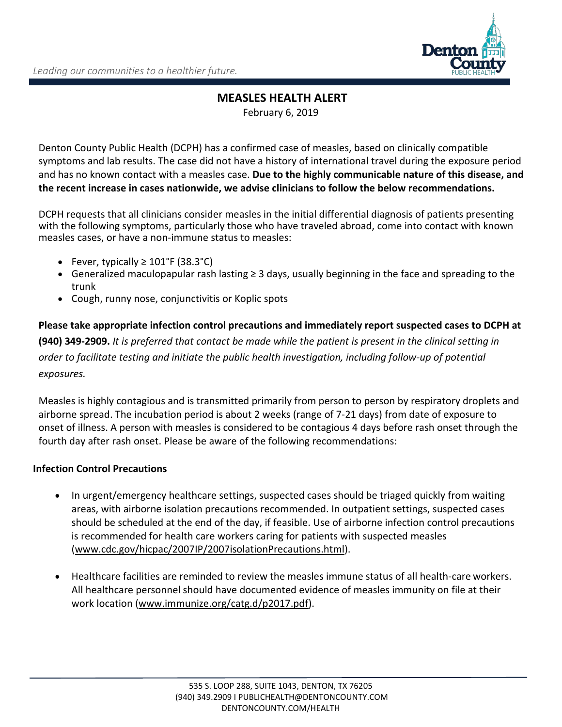

# **MEASLES HEALTH ALERT** February 6, 2019

Denton County Public Health (DCPH) has a confirmed case of measles, based on clinically compatible symptoms and lab results. The case did not have a history of international travel during the exposure period and has no known contact with a measles case. **Due to the highly communicable nature of this disease, and the recent increase in cases nationwide, we advise clinicians to follow the below recommendations.** 

DCPH requests that all clinicians consider measles in the initial differential diagnosis of patients presenting with the following symptoms, particularly those who have traveled abroad, come into contact with known measles cases, or have a non-immune status to measles:

- Fever, typically  $\geq 101^{\circ}$ F (38.3 $^{\circ}$ C)
- Generalized maculopapular rash lasting ≥ 3 days, usually beginning in the face and spreading to the trunk
- Cough, runny nose, conjunctivitis or Koplic spots

**Please take appropriate infection control precautions and immediately report suspected cases to DCPH at (940) 349-2909.** *It is preferred that contact be made while the patient is present in the clinical setting in order to facilitate testing and initiate the public health investigation, including follow-up of potential exposures.*

Measles is highly contagious and is transmitted primarily from person to person by respiratory droplets and airborne spread. The incubation period is about 2 weeks (range of 7-21 days) from date of exposure to onset of illness. A person with measles is considered to be contagious 4 days before rash onset through the fourth day after rash onset. Please be aware of the following recommendations:

### **Infection Control Precautions**

- In urgent/emergency healthcare settings, suspected cases should be triaged quickly from waiting areas, with airborne isolation precautions recommended. In outpatient settings, suspected cases should be scheduled at the end of the day, if feasible. Use of airborne infection control precautions is recommended for health care workers caring for patients with suspected measles [\(www.cdc.gov/hicpac/2007IP/2007isolationPrecautions.html\)](http://www.cdc.gov/hicpac/2007IP/2007isolationPrecautions.html).
- Healthcare facilities are reminded to review the measles immune status of all health-care workers. All healthcare personnel should have documented evidence of measles immunity on file at their work location [\(www.immunize.org/catg.d/p2017.pdf\)](file://FileServer7/HLT/DATA/HEART/Briar/Letters/Letters%20to%20Doc/www.immunize.org/catg.d/p2017.pdf).